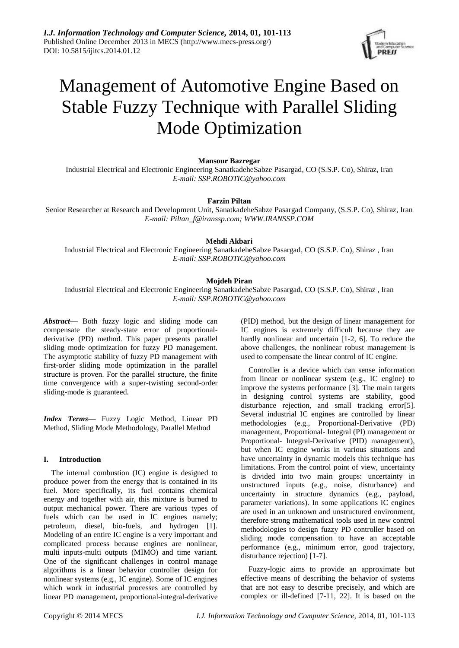

# Management of Automotive Engine Based on Stable Fuzzy Technique with Parallel Sliding Mode Optimization

### **Mansour Bazregar**

Industrial Electrical and Electronic Engineering SanatkadeheSabze Pasargad, CO (S.S.P. Co), Shiraz, Iran *E-mail: [SSP.ROBOTIC@yahoo.com](mailto:SSP.ROBOTIC@yahoo.com)*

### **Farzin Piltan**

Senior Researcher at Research and Development Unit, SanatkadeheSabze Pasargad Company, (S.S.P. Co), Shiraz, Iran *E-mail: [Piltan\\_f@iranssp.com;](mailto:Piltan_f@iranssp.com) WWW.IRANSSP.COM*

#### **Mehdi Akbari**

Industrial Electrical and Electronic Engineering SanatkadeheSabze Pasargad, CO (S.S.P. Co), Shiraz , Iran *E-mail: SSP.ROBOTIC@yahoo.com*

# **Mojdeh Piran**

Industrial Electrical and Electronic Engineering SanatkadeheSabze Pasargad, CO (S.S.P. Co), Shiraz , Iran *E-mail: [SSP.ROBOTIC@yahoo.com](mailto:SSP.ROBOTIC@yahoo.com)*

*Abstract—* Both fuzzy logic and sliding mode can compensate the steady-state error of proportionalderivative (PD) method. This paper presents parallel sliding mode optimization for fuzzy PD management. The asymptotic stability of fuzzy PD management with first-order sliding mode optimization in the parallel structure is proven. For the parallel structure, the finite time convergence with a super-twisting second-order sliding-mode is guaranteed*.*

*Index Terms***—** Fuzzy Logic Method, Linear PD Method, Sliding Mode Methodology, Parallel Method

#### **I. Introduction**

The internal combustion (IC) engine is designed to produce power from the energy that is contained in its fuel. More specifically, its fuel contains chemical energy and together with air, this mixture is burned to output mechanical power. There are various types of fuels which can be used in IC engines namely; petroleum, diesel, bio-fuels, and hydrogen [1]. Modeling of an entire IC engine is a very important and complicated process because engines are nonlinear, multi inputs-multi outputs (MIMO) and time variant. One of the significant challenges in control manage algorithms is a linear behavior controller design for nonlinear systems (e.g., IC engine). Some of IC engines which work in industrial processes are controlled by linear PD management, proportional-integral-derivative

(PID) method, but the design of linear management for IC engines is extremely difficult because they are hardly nonlinear and uncertain [1-2, 6]. To reduce the above challenges, the nonlinear robust management is used to compensate the linear control of IC engine.

Controller is a device which can sense information from linear or nonlinear system (e.g., IC engine) to improve the systems performance [3]. The main targets in designing control systems are stability, good disturbance rejection, and small tracking error[5]. Several industrial IC engines are controlled by linear methodologies (e.g., Proportional-Derivative (PD) management, Proportional- Integral (PI) management or Proportional- Integral-Derivative (PID) management), but when IC engine works in various situations and have uncertainty in dynamic models this technique has limitations. From the control point of view, uncertainty is divided into two main groups: uncertainty in unstructured inputs (e.g., noise, disturbance) and uncertainty in structure dynamics (e.g., payload, parameter variations). In some applications IC engines are used in an unknown and unstructured environment, therefore strong mathematical tools used in new control methodologies to design fuzzy PD controller based on sliding mode compensation to have an acceptable performance (e.g., minimum error, good trajectory, disturbance rejection) [1-7].

Fuzzy-logic aims to provide an approximate but effective means of describing the behavior of systems that are not easy to describe precisely, and which are complex or ill-defined [7-11, 22]. It is based on the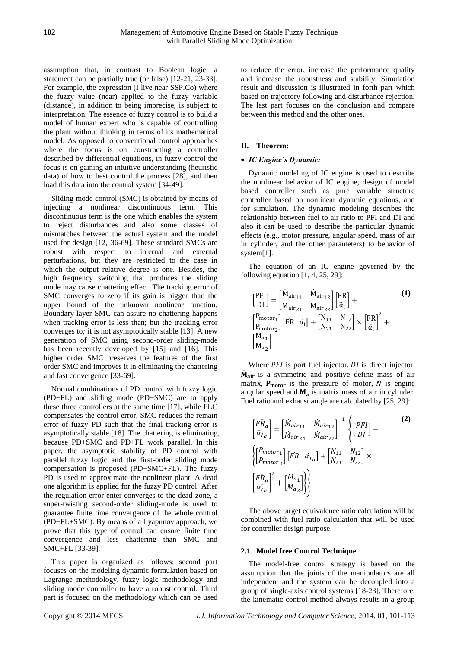assumption that, in contrast to Boolean logic, a statement can be partially true (or false) [12-21, 23-33]. For example, the expression (I live near SSP.Co) where the fuzzy value (near) applied to the fuzzy variable (distance), in addition to being imprecise, is subject to interpretation. The essence of fuzzy control is to build a model of human expert who is capable of controlling the plant without thinking in terms of its mathematical model. As opposed to conventional control approaches where the focus is on constructing a controller described by differential equations, in fuzzy control the focus is on gaining an intuitive understanding (heuristic data) of how to best control the process [28], and then load this data into the control system [34-49].

Sliding mode control (SMC) is obtained by means of injecting a nonlinear discontinuous term. This discontinuous term is the one which enables the system to reject disturbances and also some classes of mismatches between the actual system and the model used for design [12, 36-69]. These standard SMCs are robust with respect to internal and external perturbations, but they are restricted to the case in which the output relative degree is one. Besides, the high frequency switching that produces the sliding mode may cause chattering effect. The tracking error of SMC converges to zero if its gain is bigger than the upper bound of the unknown nonlinear function. Boundary layer SMC can assure no chattering happens when tracking error is less than; but the tracking error converges to*;* it is not asymptotically stable [13]. A new generation of SMC using second-order sliding-mode has been recently developed by [15] and [16]. This higher order SMC preserves the features of the first order SMC and improves it in eliminating the chattering and fast convergence [33-69].

Normal combinations of PD control with fuzzy logic (PD+FL) and sliding mode (PD+SMC) are to apply these three controllers at the same time [17], while FLC compensates the control error, SMC reduces the remain error of fuzzy PD such that the final tracking error is asymptotically stable [18]. The chattering is eliminating, because PD+SMC and PD+FL work parallel. In this paper, the asymptotic stability of PD control with parallel fuzzy logic and the first-order sliding mode compensation is proposed (PD+SMC+FL). The fuzzy PD is used to approximate the nonlinear plant. A dead one algorithm is applied for the fuzzy PD control. After the regulation error enter converges to the dead-zone, a super-twisting second-order sliding-mode is used to guarantee finite time convergence of the whole control (PD+FL+SMC). By means of a Lyapunov approach, we prove that this type of control can ensure finite time convergence and less chattering than SMC and SMC+FL [33-39].

This paper is organized as follows; second part focuses on the modeling dynamic formulation based on Lagrange methodology, fuzzy logic methodology and sliding mode controller to have a robust control. Third part is focused on the methodology which can be used to reduce the error, increase the performance quality and increase the robustness and stability. Simulation result and discussion is illustrated in forth part which based on trajectory following and disturbance rejection. The last part focuses on the conclusion and compare between this method and the other ones.

# **II. Theorem:**

# *IC Engine's Dynamic:*

Dynamic modeling of IC engine is used to describe the nonlinear behavior of IC engine, design of model based controller such as pure variable structure controller based on nonlinear dynamic equations, and for simulation. The dynamic modeling describes the relationship between fuel to air ratio to PFI and DI and also it can be used to describe the particular dynamic effects (e.g., motor pressure, angular speed, mass of air in cylinder, and the other parameters) to behavior of system[1].

The equation of an IC engine governed by the following equation  $[1, 4, 25, 29]$ :

$$
\begin{bmatrix} \n\text{PFI} \\
\text{D} \n\end{bmatrix} = \n\begin{bmatrix}\n\dot{M}_{\text{air}_{11}} & \dot{M}_{\text{air}_{12}} \\
\dot{M}_{\text{air}_{21}} & \dot{M}_{\text{air}_{22}}\n\end{bmatrix} \n\begin{bmatrix}\n\ddot{F}R \\
\ddot{a}_{I}\n\end{bmatrix} + \n\begin{bmatrix}\nP_{\text{motor}_{1}} \\
P_{\text{motor}_{2}}\n\end{bmatrix} \n\begin{bmatrix}\n\ddot{F}R & \dot{a}_{I}\n\end{bmatrix} + \n\begin{bmatrix}\nN_{11} & N_{12} \\
N_{21} & N_{22}\n\end{bmatrix} \times \n\begin{bmatrix}\n\ddot{F}R \\
\dot{a}_{I}\n\end{bmatrix}^2 + \n\begin{bmatrix}\nM_{a_1} \\
M_{a_2}\n\end{bmatrix}
$$
\n(1)

Where  $PFI$  is port fuel injector,  $DI$  is direct injector,  $\dot{M}_{air}$  is a symmetric and positive define mass of air matrix,  $P_{\text{motor}}$  is the pressure of motor, N is engine angular speed and  $M_a$  is matrix mass of air in cylinder. Fuel ratio and exhaust angle are calculated by [25, 29]:

$$
\begin{bmatrix}\nF\ddot{R}_a \\
\ddot{\alpha}_{I_a}\n\end{bmatrix} = \begin{bmatrix}\n\dot{M}_{air_{11}} & \dot{M}_{air_{12}} \\
\dot{M}_{air_{21}} & \dot{M}_{air_{22}}\n\end{bmatrix}^{-1} \begin{Bmatrix}\nPFI \\
DI\n\end{Bmatrix} - \begin{Bmatrix}\n\begin{Bmatrix}\nP_{motor_1} \\
P_{motor_2}\n\end{Bmatrix} [FR \quad \dot{\alpha}_{I_a}] + \begin{bmatrix}\nN_{11} & N_{12} \\
N_{21} & N_{22}\n\end{bmatrix} \times \begin{bmatrix}\nF\dot{R}_a \\
\dot{\alpha}_{I_a}\n\end{bmatrix}^2 + \begin{bmatrix}\nM_{a_1} \\
M_{a_2}\n\end{bmatrix}\n\end{bmatrix}
$$
\n(2)

The above target equivalence ratio calculation will be combined with fuel ratio calculation that will be used for controller design purpose.

#### **2.1 Model free Control Technique**

The model-free control strategy is based on the assumption that the joints of the manipulators are all independent and the system can be decoupled into a group of single-axis control systems [18-23]. Therefore, the kinematic control method always results in a group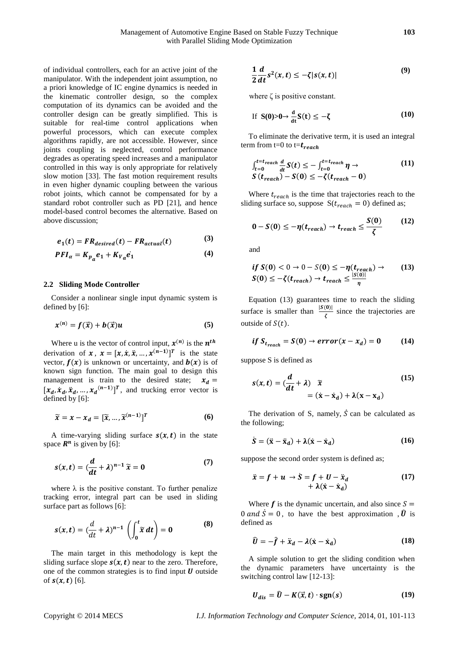of individual controllers, each for an active joint of the manipulator. With the independent joint assumption, no a priori knowledge of IC engine dynamics is needed in the kinematic controller design, so the complex computation of its dynamics can be avoided and the controller design can be greatly simplified. This is suitable for real-time control applications when powerful processors, which can execute complex algorithms rapidly, are not accessible. However, since joints coupling is neglected, control performance degrades as operating speed increases and a manipulator controlled in this way is only appropriate for relatively slow motion [33]. The fast motion requirement results in even higher dynamic coupling between the various robot joints, which cannot be compensated for by a standard robot controller such as PD [21], and hence model-based control becomes the alternative. Based on above discussion;

$$
e_1(t) = FR_{desired}(t) - FR_{actual}(t)
$$
 (3)

$$
PFI_{\alpha} = K_{p_{\alpha}}e_1 + K_{V_{\alpha}}e_1 \tag{4}
$$

#### **2.2 Sliding Mode Controller**

Consider a nonlinear single input dynamic system is defined by [6]:

$$
x^{(n)} = f(\vec{x}) + b(\vec{x})u \tag{5}
$$

Where u is the vector of control input,  $x^{(n)}$  is the  $n^{th}$ derivation of  $x$ ,  $x = [x, \dot{x}, \ddot{x}, \dots, x^{(n-1)}]^T$  is the state vector,  $f(x)$  is unknown or uncertainty, and  $b(x)$  is of known sign function. The main goal to design this management is train to the desired state;  $x_d =$  $[x_d, \dot{x}_d, \ddot{x}_d, ..., x_d^{(n-1)}]^T$ , and trucking error vector is defined by [6]:

$$
\widetilde{\mathbf{x}} = \mathbf{x} - \mathbf{x}_d = [\widetilde{\mathbf{x}}, \dots, \widetilde{\mathbf{x}}^{(n-1)}]^T
$$
 (6)

A time-varying sliding surface  $s(x, t)$  in the state space  $\mathbb{R}^n$  is given by [6]:

$$
s(x,t) = \left(\frac{d}{dt} + \lambda\right)^{n-1} \widetilde{x} = 0 \tag{7}
$$

where  $\lambda$  is the positive constant. To further penalize tracking error, integral part can be used in sliding surface part as follows [6]:

$$
s(x,t) = \left(\frac{d}{dt} + \lambda\right)^{n-1} \left(\int_0^t \tilde{x} dt\right) = 0
$$
 (8)

The main target in this methodology is kept the sliding surface slope  $s(x, t)$  near to the zero. Therefore, one of the common strategies is to find input  $U$  outside of  $s(x, t)$  [6].

$$
\frac{1}{2}\frac{d}{dt}s^2(x,t) \leq -\zeta|s(x,t)|\tag{9}
$$

where  $\zeta$  is positive constant.

If 
$$
S(0) > 0 \rightarrow \frac{d}{dt} S(t) \le -\zeta
$$
 (10)

To eliminate the derivative term, it is used an integral term from t=0 to t= $t_{reach}$ 

$$
\int_{t=0}^{t=t_{reach}} \frac{d}{dt} S(t) \le - \int_{t=0}^{t=t_{reach}} \eta \to
$$
\n
$$
S(t_{reach}) - S(0) \le -\zeta(t_{reach} - 0)
$$
\n(11)

Where  $t_{reach}$  is the time that trajectories reach to the sliding surface so, suppose  $S(t_{reach} = 0)$  defined as;

$$
0 - S(0) \le -\eta(t_{reach}) \to t_{reach} \le \frac{S(0)}{\zeta}
$$
 (12)

and

$$
if S(0) < 0 \rightarrow 0 - S(0) \le -\eta(t_{reach}) \rightarrow (13)
$$
  

$$
S(0) \le -\zeta(t_{reach}) \rightarrow t_{reach} \le \frac{|S(0)|}{\eta}
$$

Equation (13) guarantees time to reach the sliding surface is smaller than  $\frac{|S(0)|}{\zeta}$  since the trajectories are outside of  $S(t)$ .

$$
if S_{t_{reach}} = S(0) \rightarrow error(x - x_d) = 0 \qquad (14)
$$

suppose S is defined as

$$
s(x,t) = \left(\frac{d}{dt} + \lambda\right) \tilde{x}
$$
  
=  $(\dot{x} - \dot{x}_d) + \lambda(x - x_d)$  (15)

The derivation of S, namely,  $\dot{S}$  can be calculated as the following;

$$
\dot{S} = (\ddot{x} - \ddot{x}_d) + \lambda(\dot{x} - \dot{x}_d) \tag{16}
$$

suppose the second order system is defined as;

$$
\ddot{x} = f + u \rightarrow \dot{S} = f + U - \ddot{x}_d + \lambda(\dot{x} - \dot{x}_d)
$$
 (17)

Where  $f$  is the dynamic uncertain, and also since  $S =$ 0 and  $\dot{S} = 0$ , to have the best approximation ,  $\hat{U}$  is defined as

$$
\hat{U} = -\hat{f} + \ddot{x}_d - \lambda(\dot{x} - \dot{x}_d)
$$
 (18)

A simple solution to get the sliding condition when the dynamic parameters have uncertainty is the switching control law [12-13]:

$$
U_{dis} = \hat{U} - K(\vec{x}, t) \cdot \text{sgn}(s) \tag{19}
$$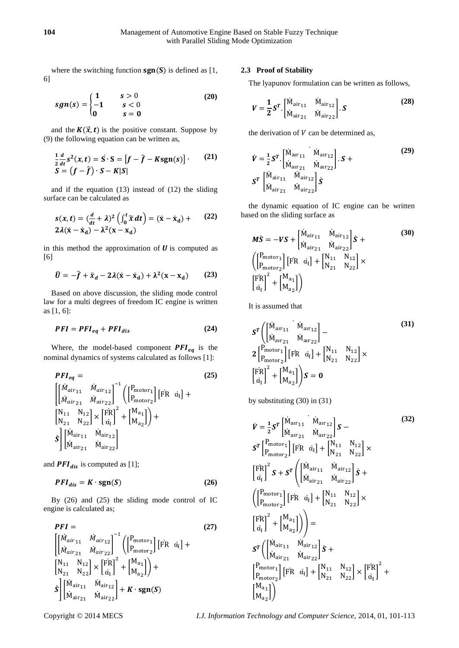where the switching function  $sgn(S)$  is defined as [1, 6]

$$
sgn(s) = \begin{cases} 1 & s > 0 \\ -1 & s < 0 \\ 0 & s = 0 \end{cases}
$$
 (20)

and the  $K(\vec{x}, t)$  is the positive constant. Suppose by (9) the following equation can be written as,

$$
\frac{1}{2}\frac{d}{dt}s^{2}(x,t) = \mathbf{S} \cdot \mathbf{S} = [f - \hat{f} - Ksgn(s)]. \qquad (21)
$$

$$
\mathbf{S} = (f - \hat{f}) \cdot \mathbf{S} - K|\mathbf{S}|
$$

and if the equation (13) instead of (12) the sliding surface can be calculated as

$$
s(x,t) = \left(\frac{d}{dt} + \lambda\right)^2 \left(\int_0^t \widetilde{x} dt\right) = (\dot{x} - \dot{x}_d) + (22)
$$
  
2 $\lambda(\dot{x} - \dot{x}_d) - \lambda^2(x - x_d)$ 

in this method the approximation of  $U$  is computed as [6]

$$
\widehat{U} = -\widehat{f} + \ddot{x}_d - 2\lambda(\dot{x} - \dot{x}_d) + \lambda^2(x - x_d) \qquad (23)
$$

Based on above discussion, the sliding mode control law for a multi degrees of freedom IC engine is written as [1, 6]:

$$
PFI = PFI_{eq} + PFI_{dis}
$$
 (24)

Where, the model-based component  $PFI_{eq}$  is the nominal dynamics of systems calculated as follows [1]:

$$
PFI_{eq} = (25)
$$
\n
$$
\begin{bmatrix}\n\left[\begin{array}{cc}\nM_{air_{11}} & \dot{M}_{air_{12}} \\
\dot{M}_{air_{21}} & \dot{M}_{air_{22}}\n\end{array}\right]^{-1} \left(\begin{bmatrix}\nP_{motor_1} \\
P_{motor_2}\n\end{bmatrix} [FR \space \dot{\alpha}_I] +\n\begin{bmatrix}\nN_{11} & N_{12} \\
N_{21} & N_{22}\n\end{bmatrix} \times \begin{bmatrix}\nFR \\
\dot{\alpha}_I\n\end{bmatrix}^{-1} + \begin{bmatrix}\nM_{a_1} \\
M_{a_2}\n\end{bmatrix} +\n\begin{bmatrix}\nS \\
N_{air_{11}} & \dot{M}_{air_{12}} \\
\dot{M}_{air_{21}} & \dot{M}_{air_{22}}\n\end{bmatrix}
$$
\n(25)

and  $\textbf{PFI}_{dis}$  is computed as [1];

$$
PFI_{dis} = K \cdot \text{sgn}(S) \tag{26}
$$

By (26) and (25) the sliding mode control of IC engine is calculated as;

$$
PFI = (27)
$$
\n
$$
\begin{bmatrix}\n\dot{M}_{air_{11}} & \dot{M}_{air_{12}} \\
\dot{M}_{air_{21}} & \dot{M}_{air_{22}}\n\end{bmatrix}^{-1} \begin{bmatrix}\n\begin{bmatrix}\nP_{motor_1} \\
P_{motor_2}\n\end{bmatrix} [FR \space \dot{\alpha}_1]\n+ \begin{bmatrix}\nN_{11} & N_{12} \\
N_{21} & N_{22}\n\end{bmatrix} \times \begin{bmatrix}\nFR \\
\dot{\alpha}_1\n\end{bmatrix}^2 + \begin{bmatrix}\nM_{a_1} \\
M_{a_2}\n\end{bmatrix} + \begin{bmatrix}\n\dot{M}_{a_1} \\
\dot{M}_{a_2} \\
\dot{M}_{air_{21}}\n\end{bmatrix} + K \cdot sgn(S)
$$
\n(27)

#### **2.3 Proof of Stability**

The lyapunov formulation can be written as follows,

$$
V = \frac{1}{2} S^{T} \cdot \begin{bmatrix} \dot{M}_{\text{air}_{11}} & \dot{M}_{\text{air}_{12}} \\ \dot{M}_{\text{air}_{21}} & \dot{M}_{\text{air}_{22}} \end{bmatrix} . S
$$
 (28)

the derivation of  $V$  can be determined as,

$$
\dot{V} = \frac{1}{2} S^{T} \begin{bmatrix} \dot{M}_{\text{air}_{11}} & \dot{M}_{\text{air}_{12}} \\ \dot{M}_{\text{air}_{21}} & \dot{M}_{\text{air}_{22}} \end{bmatrix} . S +
$$
\n
$$
S^{T} \begin{bmatrix} \dot{M}_{\text{air}_{11}} & \dot{M}_{\text{air}_{12}} \\ \dot{M}_{\text{air}_{21}} & \dot{M}_{\text{air}_{22}} \end{bmatrix} S
$$
\n(29)

the dynamic equation of IC engine can be written based on the sliding surface as

$$
M\dot{S} = -VS + \begin{bmatrix} \dot{M}_{\text{air}_{11}} & \dot{M}_{\text{air}_{12}} \\ \dot{M}_{\text{air}_{21}} & \dot{M}_{\text{air}_{22}} \end{bmatrix} \dot{S} +
$$
  
\n
$$
\begin{pmatrix} \begin{bmatrix} P_{\text{motor}_1} \\ P_{\text{motor}_2} \end{bmatrix} \begin{bmatrix} FR & \dot{\alpha}_1 \end{bmatrix} + \begin{bmatrix} N_{11} & N_{12} \\ N_{21} & N_{22} \end{bmatrix} \times \begin{bmatrix} FR \\ \dot{\alpha}_1 \end{bmatrix}^2 + \begin{bmatrix} M_{a_1} \\ M_{a_2} \end{bmatrix} \end{pmatrix}
$$
 (30)

It is assumed that

$$
S^{T}\left(\begin{bmatrix} \dot{M}_{\text{air}_{11}} & \dot{M}_{\text{air}_{12}} \\ \dot{M}_{\text{air}_{21}} & \dot{M}_{\text{air}_{22}} \end{bmatrix} - 2\begin{bmatrix} P_{\text{motor}_{1}} \\ P_{\text{motor}_{2}} \end{bmatrix} \begin{bmatrix} FR & a_{i} \end{bmatrix} + \begin{bmatrix} N_{11} & N_{12} \\ N_{21} & N_{22} \end{bmatrix} \times \begin{bmatrix} FR \\ a_{i} \end{bmatrix}^{2} + \begin{bmatrix} M_{a_{1}} \\ M_{a_{2}} \end{bmatrix} S = 0
$$
\n(31)

by substituting (30) in (31)

$$
\dot{V} = \frac{1}{2} S^{T} \begin{bmatrix} \dot{M}_{\text{alr}_{11}} & \dot{M}_{\text{alr}_{12}} \\ \dot{M}_{\text{alr}_{21}} & \dot{M}_{\text{alr}_{22}} \end{bmatrix} S - S^{T} \begin{bmatrix} P_{\text{motor}_{1}} \\ P_{\text{motor}_{2}} \end{bmatrix} \begin{bmatrix} FR & \dot{\alpha}_{i} \end{bmatrix} + \begin{bmatrix} N_{11} & N_{12} \\ N_{21} & N_{22} \end{bmatrix} \times \begin{bmatrix} FR \\ \dot{\alpha}_{i} \end{bmatrix}^{2} S + S^{T} \begin{pmatrix} \begin{bmatrix} \dot{M}_{\text{alr}_{11}} & \dot{M}_{\text{alr}_{12}} \\ \dot{M}_{\text{alr}_{21}} & \dot{M}_{\text{alr}_{22}} \end{bmatrix} S + \begin{pmatrix} \begin{bmatrix} P_{\text{motor}_{1}} \\ P_{\text{motor}_{2}} \end{bmatrix} \begin{bmatrix} FR & \dot{\alpha}_{i} \end{bmatrix} + \begin{bmatrix} N_{11} & N_{12} \\ N_{21} & N_{22} \end{bmatrix} \times \begin{bmatrix} FR \\ \dot{\alpha}_{i} \end{bmatrix}^{2} + \begin{bmatrix} M_{a_{1}} \\ M_{a_{2}} \end{bmatrix} \end{pmatrix} \bigg) = S^{T} \begin{pmatrix} \begin{bmatrix} \dot{M}_{\text{alr}_{11}} & \dot{M}_{\text{alr}_{12}} \\ \dot{M}_{\text{alr}_{21}} & \dot{M}_{\text{alr}_{22}} \end{bmatrix} S + \begin{bmatrix} P_{\text{motor}_{1}} \\ P_{\text{motor}_{2}} \end{bmatrix} \begin{bmatrix} FR & \dot{\alpha}_{i} \end{bmatrix} + \begin{bmatrix} N_{11} & N_{12} \\ N_{21} & N_{22} \end{bmatrix} \times \begin{bmatrix} FR \\ \dot{\alpha}_{i} \end{bmatrix}^{2} + \begin{bmatrix} M_{a_{1}} \\ M_{a_{2}} \end{bmatrix} \end{pmatrix}
$$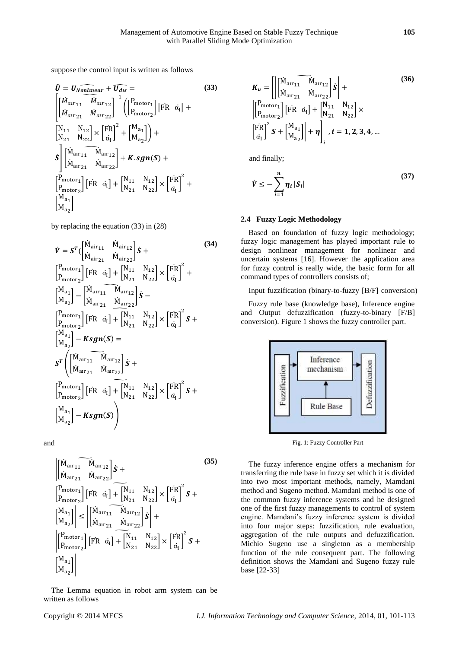suppose the control input is written as follows

$$
\hat{U} = U_{Nonlinear} + \overline{U_{dis}} = (33)
$$
\n
$$
\begin{bmatrix}\n\dot{M}_{arr_{11}} & \dot{M}_{arr_{12}} \\
\dot{M}_{arr_{21}} & \dot{M}_{arr_{22}}\n\end{bmatrix}^{-1} \begin{bmatrix}\nP_{\text{motor}_1} \\
P_{\text{motor}_2}\n\end{bmatrix} [FR \space \dot{\alpha}_I] +
$$
\n
$$
\begin{bmatrix}\nN_{11} & N_{12} \\
N_{21} & N_{22}\n\end{bmatrix} \times \begin{bmatrix}\n\overline{FR} \\
\dot{\alpha}_I\n\end{bmatrix}^{-1} + \begin{bmatrix}\nM_{a_1} \\
M_{a_2}\n\end{bmatrix} +
$$
\n
$$
\dot{S} \begin{bmatrix}\n\dot{M}_{\text{arr}_{11}} & \dot{M}_{\text{arr}_{12}} \\
\dot{M}_{\text{arr}_{21}} & \dot{M}_{\text{arr}_{22}}\n\end{bmatrix} + K. \text{sgn}(S) +
$$
\n
$$
\begin{bmatrix}\nP_{\text{motor}_1} \\
P_{\text{motor}_2}\n\end{bmatrix} [FR \space \dot{\alpha}_I] + \begin{bmatrix}\nN_{11} & N_{12} \\
N_{21} & N_{22}\n\end{bmatrix} \times \begin{bmatrix}\n\overline{FR} \\
\dot{\alpha}_I\n\end{bmatrix}^{-2} +
$$
\n
$$
\begin{bmatrix}\nM_{a_1} \\
M_{a_2}\n\end{bmatrix}
$$

by replacing the equation (33) in (28)

$$
\dot{V} = S^{T} \Big( \begin{bmatrix} \dot{M}_{\text{air}_{11}} & \dot{M}_{\text{air}_{12}} \\ \dot{M}_{\text{air}_{21}} & \dot{M}_{\text{air}_{22}} \end{bmatrix} \dot{S} +
$$
\n
$$
\Big[ \begin{bmatrix} P_{\text{motor}_{1}} \\ P_{\text{motor}_{2}} \end{bmatrix} \Big[ \begin{bmatrix} \dot{F}R & \dot{\alpha}_{I} \end{bmatrix} + \begin{bmatrix} N_{11} & N_{12} \\ N_{21} & N_{22} \end{bmatrix} \times \Big[ \begin{bmatrix} \dot{F}R \\ \dot{\alpha}_{I} \end{bmatrix}^2 +
$$
\n
$$
\Big[ \begin{bmatrix} M_{a1} \\ M_{a2} \end{bmatrix} - \begin{bmatrix} \dot{M}_{\text{arr}_{11}} & \dot{M}_{\text{arr}_{12}} \\ \dot{M}_{\text{arr}_{21}} & \dot{M}_{\text{arr}_{22}} \end{bmatrix} \dot{S} -
$$
\n
$$
\Big[ \begin{bmatrix} P_{\text{motor}_{1}} \\ P_{\text{motor}_{2}} \end{bmatrix} \Big[ \begin{bmatrix} \dot{F}R & \dot{\alpha}_{I} \end{bmatrix} + \begin{bmatrix} N_{11} & N_{12} \\ N_{21} & N_{22} \end{bmatrix} \times \Big[ \begin{bmatrix} \dot{F}R \\ \dot{\alpha}_{I} \end{bmatrix}^2 \dot{S} +
$$
\n
$$
S^{T} \Big( \begin{bmatrix} \dot{M}_{\text{arr}_{11}} & \dot{M}_{\text{arr}_{12}} \\ \dot{M}_{\text{arr}_{21}} & \dot{M}_{\text{arr}_{22}} \end{bmatrix} \dot{S} +
$$
\n
$$
\Big[ \begin{bmatrix} P_{\text{motor}_{1}} \\ P_{\text{motor}_{2}} \end{bmatrix} \Big[ \begin{bmatrix} \dot{F}R & \dot{\alpha}_{I} \end{bmatrix} + \begin{bmatrix} N_{11} & N_{12} \\ N_{21} & N_{22} \end{bmatrix} \times \Big[ \begin{bmatrix} \dot{F}R \\ \dot{\alpha}_{I} \end{bmatrix}^2 \dot{S} +
$$
\n
$$
\Big[ \begin{bmatrix} M_{a1} \\ P_{\text{motor}_{2}} \end{bmatrix}
$$

and

$$
\begin{aligned}\n\begin{bmatrix}\n\widetilde{M}_{\text{alr}_{11}} & \widetilde{M}_{\text{alr}_{12}}\n\end{bmatrix} & \mathbf{\acute{S}} + \\
\begin{bmatrix}\n\widetilde{M}_{\text{alr}_{21}} & \widetilde{M}_{\text{alr}_{22}}\n\end{bmatrix} & \mathbf{\acute{S}} + \\
\begin{bmatrix}\n\widetilde{P}_{\text{motor1}} \\
P_{\text{motor2}}\n\end{bmatrix} & \begin{bmatrix}\n\widetilde{F}_{R} & \widetilde{a}_{1}\n\end{bmatrix} + \begin{bmatrix}\nN_{11} & N_{12} \\
N_{21} & N_{22}\n\end{bmatrix} \times \begin{bmatrix}\n\widetilde{F}_{R} \\
\widetilde{a}_{1}\n\end{bmatrix}^{2} & \mathbf{S} + \\
\begin{bmatrix}\nM_{a_{1}} \\
M_{a_{2}}\n\end{bmatrix} & \leq \begin{bmatrix}\n\widetilde{M}_{\text{alr}_{11}} & \widetilde{M}_{\text{alr}_{12}} \\
\widetilde{M}_{\text{alr}_{21}} & \widetilde{M}_{\text{alr}_{22}}\n\end{bmatrix} & \mathbf{\acute{S}} + \\
\begin{bmatrix}\n\widetilde{P}_{\text{motor1}} \\
P_{\text{motor2}}\n\end{bmatrix} & \begin{bmatrix}\n\widetilde{F}_{R} & \widetilde{a}_{1}\n\end{bmatrix} + \begin{bmatrix}\nN_{11} & N_{12} \\
N_{21} & N_{22}\n\end{bmatrix} \times \begin{bmatrix}\n\widetilde{F}_{R} \\
\widetilde{a}_{1}\n\end{bmatrix}^{2} & \mathbf{S} + \\
\begin{bmatrix}\nM_{a_{1}} \\
M_{a_{2}}\n\end{bmatrix}\n\end{aligned}
$$
\n(35)

The Lemma equation in robot arm system can be written as follows

$$
K_{u} = \left[ \begin{vmatrix} \widetilde{M}_{\text{alr}_{11}} & \widetilde{M}_{\text{alr}_{12}} \\ \widetilde{M}_{\text{alr}_{21}} & \widetilde{M}_{\text{alr}_{22}} \end{vmatrix} \dot{s} \right] +
$$
  
\n
$$
\left[ \begin{matrix} P_{\text{motor}_{1}} \\ P_{\text{motor}_{2}} \end{matrix} \right] \left[ \begin{matrix} FR & \dot{a}_{1} \end{matrix} \right] + \left[ \begin{matrix} N_{11} & N_{12} \\ N_{21} & N_{22} \end{matrix} \right] \times
$$
  
\n
$$
\left[ \begin{matrix} FR \\ \dot{a}_{1} \end{matrix} \right]^{2} S + \left[ \begin{matrix} M_{a_{1}} \\ M_{a_{2}} \end{matrix} \right] \right] + \eta \right]_{i}, i = 1, 2, 3, 4, ...
$$

and finally;

$$
\dot{V} \leq -\sum_{i=1}^{n} \eta_i |S_i| \tag{37}
$$

#### **2.4 Fuzzy Logic Methodology**

Based on foundation of fuzzy logic methodology; fuzzy logic management has played important rule to design nonlinear management for nonlinear and uncertain systems [16]. However the application area for fuzzy control is really wide, the basic form for all command types of controllers consists of;

Input fuzzification (binary-to-fuzzy [B/F] conversion)

Fuzzy rule base (knowledge base), Inference engine and Output defuzzification (fuzzy-to-binary [F/B] conversion). Figure 1 shows the fuzzy controller part.



Fig. 1: Fuzzy Controller Part

The fuzzy inference engine offers a mechanism for transferring the rule base in fuzzy set which it is divided into two most important methods, namely, Mamdani method and Sugeno method. Mamdani method is one of the common fuzzy inference systems and he designed one of the first fuzzy managements to control of system engine. Mamdani's fuzzy inference system is divided into four major steps: fuzzification, rule evaluation, aggregation of the rule outputs and defuzzification. Michio Sugeno use a singleton as a membership function of the rule consequent part. The following definition shows the Mamdani and Sugeno fuzzy rule base [22-33]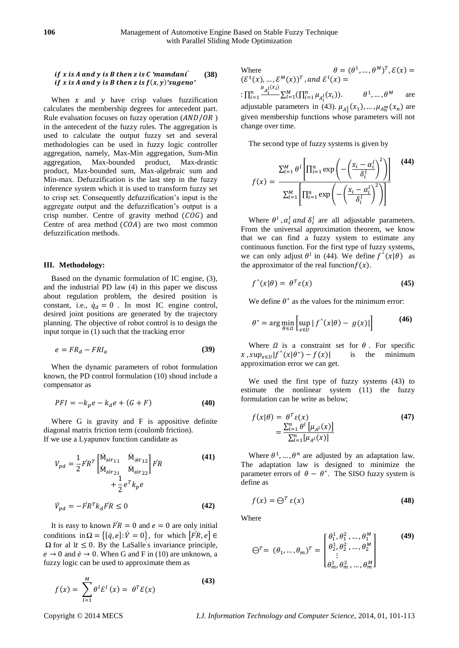#### *if* x is A and y is B then z is C 'mamdani<sup>'</sup> *if* x is A and y is B then z is  $f(x, y)'$ sugeno' **(38)**

When  $x$  and  $y$  have crisp values fuzzification calculates the membership degrees for antecedent part. Rule evaluation focuses on fuzzy operation  $(AND/OR)$ in the antecedent of the fuzzy rules. The aggregation is used to calculate the output fuzzy set and several methodologies can be used in fuzzy logic controller aggregation, namely, Max-Min aggregation, Sum-Min aggregation, Max-bounded product, Max-drastic product, Max-bounded sum, Max-algebraic sum and Min-max. Defuzzification is the last step in the fuzzy inference system which it is used to transform fuzzy set to crisp set. Consequently defuzzification's input is the aggregate output and the defuzzification's output is a crisp number. Centre of gravity method  $(COG)$  and Centre of area method  $(COA)$  are two most common defuzzification methods.

#### **III. Methodology:**

Based on the dynamic formulation of IC engine, (3), and the industrial PD law (4) in this paper we discuss about regulation problem, the desired position is constant, i.e.,  $\dot{q}_d = 0$ . In most IC engine control, desired joint positions are generated by the trajectory planning. The objective of robot control is to design the input torque in (1) such that the tracking error

$$
e = FR_d - FRl_a \tag{39}
$$

When the dynamic parameters of robot formulation known, the PD control formulation (10) shoud include a compensator as

$$
PFI = -k_p e - k_d e + (G + F) \tag{40}
$$

Where G is gravity and F is appositive definite diagonal matrix friction term (coulomb friction). If we use a Lyapunov function candidate as

$$
V_{pd} = \frac{1}{2} F R^T \begin{bmatrix} \dot{M}_{\text{air}_{11}} & \dot{M}_{\text{air}_{12}} \\ \dot{M}_{\text{air}_{21}} & \dot{M}_{\text{air}_{22}} \end{bmatrix} F R + \frac{1}{2} e^T k_p e
$$
 (41)

$$
\dot{V}_{pd} = -\dot{F}R^T k_d \dot{F}R \le 0 \tag{42}
$$

It is easy to known  $\overrightarrow{FR} = 0$  and  $e = 0$  are only initial conditions in  $\Omega = \{ [\dot{q}, e] : \dot{V} = 0 \}$ , for which  $[\dot{FR}, e] \in$  $\Omega$  for al  $1t \leq 0$ . By the LaSalle's invariance principle,  $e \rightarrow 0$  and  $\dot{e} \rightarrow 0$ . When G and F in (10) are unknown, a fuzzy logic can be used to approximate them as

$$
f(x) = \sum_{l=1}^{M} \theta^l \mathcal{E}^l(x) = \theta^T \mathcal{E}(x)
$$
 (43)

Where  $\theta = (\theta^1, ..., \theta^M)^T, \mathcal{E}(x) =$  $(\mathcal{E}^1(x), ..., \mathcal{E}^M(x))^T$ , and  $\mathcal{E}^l(x)$  = :  $\prod_{i=1}^{n} \frac{\mu_{A_i^l}(x_i)}{x_i}$  $\frac{n}{i-1} \frac{A_i}{\sum_{l=1}^{M} (\prod_{i=1}^n \mu_{A_i^l}(x_i))}$   $\theta^1, ..., \theta^M$  are adjustable parameters in (43).  $\mu_{A_1^1}(x_1)$ , ...,  $\mu_{A_n^m}(x_n)$  are given membership functions whose parameters will not change over time.

The second type of fuzzy systems is given by

$$
f(x) = \frac{\sum_{l=1}^{M} \theta^l \left[ \prod_{i=1}^{n} \exp\left(-\left(\frac{x_i - \alpha_i^l}{\delta_i^l}\right)^2\right) \right]}{\sum_{l=1}^{M} \left[ \prod_{i=1}^{n} \exp\left(-\left(\frac{x_i - \alpha_i^l}{\delta_i^l}\right)^2\right) \right]}
$$
(44)

Where  $\theta^l$ ,  $\alpha_i^l$  and  $\delta_i^l$  are all adjustable parameters. From the universal approximation theorem, we know that we can find a fuzzy system to estimate any continuous function. For the first type of fuzzy systems, we can only adjust  $\theta^l$  in (44). We define  $f'(x|\theta)$  as the approximator of the real function  $f(x)$ .

$$
f^{\wedge}(x|\theta) = \theta^T \varepsilon(x) \tag{45}
$$

We define  $\theta^*$  as the values for the minimum error:

$$
\theta^* = \arg\min_{\theta \in \Omega} \left[ \sup_{x \in U} |f'(x|\theta) - g(x)| \right] \tag{46}
$$

Where  $\Omega$  is a constraint set for  $\theta$ . For specific  $x$  ,  $sup_{x \in U}$   $|f^{\wedge}(x|\theta^{\ast})|$ is the minimum approximation error we can get.

We used the first type of fuzzy systems (43) to estimate the nonlinear system (11) the fuzzy formulation can be write as below;

$$
f(x|\theta) = \frac{\theta^T \varepsilon(x)}{\sum_{l=1}^n \theta^l \left[\mu_{A^l}(x)\right]} = \frac{\sum_{l=1}^n \left[\mu_{A^l}(x)\right]}{\sum_{l=1}^n \left[\mu_{A^l}(x)\right]}
$$
(47)

Where  $\theta^1$ , ...,  $\theta^n$  are adjusted by an adaptation law. The adaptation law is designed to minimize the parameter errors of  $\theta - \theta^*$ . The SISO fuzzy system is define as

$$
f(x) = \bigoplus^{T} \varepsilon(x) \tag{48}
$$

Where

$$
\Theta^{T} = (\theta_{1}, ..., \theta_{m})^{T} = \begin{bmatrix} \theta_{1}^{1}, \theta_{1}^{2}, ..., \theta_{1}^{M} \\ \theta_{2}^{1}, \theta_{2}^{2}, ..., \theta_{2}^{M} \\ \vdots \\ \theta_{m}^{1}, \theta_{m}^{2}, ..., \theta_{m}^{M} \end{bmatrix}
$$
(49)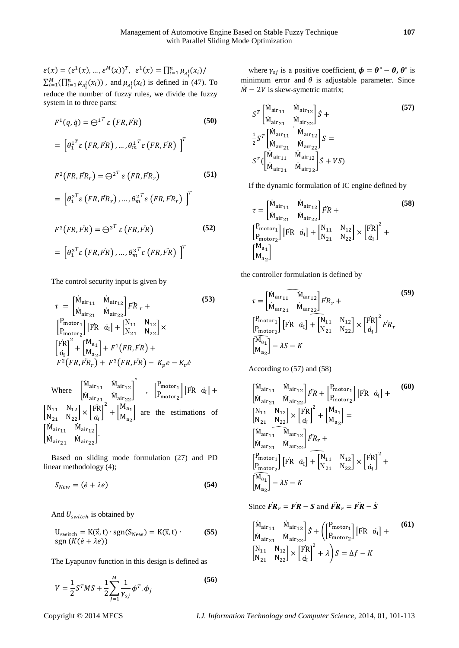$\varepsilon(x) = (\varepsilon^1(x), ..., \varepsilon^M(x))^T, \ \varepsilon^1(x) = \prod_{i=1}^n \mu_{A_i^l}(x_i)$  $\sum_{l=1}^{M} (\prod_{i=1}^{n} \mu_{A_i^l}(x_i))$ , and  $\mu_{A_i^l}(x_i)$  is defined in (47). To reduce the number of fuzzy rules, we divide the fuzzy system in to three parts:

$$
F^{1}(q, \dot{q}) = \Theta^{1^{T}} \varepsilon (FR, FR)
$$
\n
$$
= \left[ \theta_{1}^{1^{T}} \varepsilon (FR, FR), \dots, \theta_{m}^{1^{T}} \varepsilon (FR, FR) \right]^{T}
$$
\n
$$
F^{2}(FR, FR_{r}) = \Theta^{2^{T}} \varepsilon (FR, FR_{r})
$$
\n(51)

$$
= \left[\theta_1^{2^T} \varepsilon\left(FR, \ddot{FR}_r\right), \ldots, \theta_m^{2^T} \varepsilon\left(FR, \ddot{FR}_r\right)\right]^T
$$

$$
F^{3}(FR, \vec{FR}) = \Theta^{3^{T}} \varepsilon (FR, \vec{FR})
$$
\n
$$
= \left[ \theta_{1}^{3^{T}} \varepsilon (FR, \vec{FR}) , \dots, \theta_{m}^{3^{T}} \varepsilon (FR, \vec{FR}) \right]^{T}
$$
\n(52)

The control security input is given by

$$
\tau = \begin{bmatrix} \dot{M}_{\text{air}_{11}} & \dot{M}_{\text{air}_{12}} \\ \dot{M}_{\text{air}_{21}} & \dot{M}_{\text{air}_{22}} \end{bmatrix} F\dot{R} r +
$$
\n
$$
\begin{bmatrix} P_{\text{motor}_{1}} \\ P_{\text{motor}_{2}} \end{bmatrix} [FR \quad \dot{\alpha_{I}}] + \begin{bmatrix} N_{11} & N_{12} \\ N_{21} & N_{22} \end{bmatrix} \times
$$
\n
$$
\begin{bmatrix} FR \\ \dot{\alpha_{I}} \end{bmatrix}^{2} + \begin{bmatrix} M_{a_{1}} \\ M_{a_{2}} \end{bmatrix} + F^{1}(FR, FR) +
$$
\n
$$
F^{2}(FR, FR_{r}) + F^{3}(FR, FR) - K_{p}e - K_{v}e
$$
\n(53)

Where 
$$
\begin{bmatrix} \dot{M}_{\text{air}_{11}} & \dot{M}_{\text{air}_{12}} \\ \dot{M}_{\text{air}_{21}} & \dot{M}_{\text{air}_{22}} \end{bmatrix}^{\circ}
$$
, 
$$
\begin{bmatrix} P_{\text{motor}_1} \\ P_{\text{motor}_2} \end{bmatrix} [FR \space \alpha_I] +
$$

$$
\begin{bmatrix} N_{11} & N_{12} \\ N_{21} & N_{22} \end{bmatrix} \times \begin{bmatrix} FR \\ \dot{\alpha}_I \end{bmatrix}^2 + \begin{bmatrix} M_{a_1} \\ M_{a_2} \end{bmatrix}
$$
 are the estimations of 
$$
\begin{bmatrix} \dot{M}_{\text{air}_{11}} & \dot{M}_{\text{air}_{12}} \\ \dot{M}_{\text{air}_{21}} & \dot{M}_{\text{air}_{22}} \end{bmatrix}.
$$

Based on sliding mode formulation (27) and PD linear methodology (4);

$$
S_{New} = (\dot{e} + \lambda e) \tag{54}
$$

And  $U_{switch}$  is obtained by

$$
U_{switch} = K(\vec{x}, t) \cdot \text{sgn}(S_{New}) = K(\vec{x}, t) \cdot (55)
$$
  
sgn
$$
(K(\dot{e} + \lambda e))
$$

The Lyapunov function in this design is defined as

$$
V = \frac{1}{2}S^{T}MS + \frac{1}{2}\sum_{j=1}^{M}\frac{1}{\gamma_{sj}}\phi^{T}.\phi_{j}
$$
\n(56)

where  $\gamma_{sj}$  is a positive coefficient,  $\boldsymbol{\phi} = \boldsymbol{\theta}^* - \boldsymbol{\theta}, \boldsymbol{\theta}^*$  is minimum error and  $\theta$  is adjustable parameter. Since  $\dot{M}$  – 2V is skew-symetric matrix;

$$
S^{T} \begin{bmatrix} \dot{M}_{\text{air}_{11}} & \dot{M}_{\text{air}_{12}} \\ \dot{M}_{\text{air}_{21}} & \dot{M}_{\text{air}_{22}} \end{bmatrix} \dot{S} +
$$
  
\n
$$
\frac{1}{2} S^{T} \begin{bmatrix} \dot{M}_{\text{arr}_{11}} & \dot{M}_{\text{arr}_{12}} \\ \dot{M}_{\text{arr}_{21}} & \dot{M}_{\text{arr}_{22}} \end{bmatrix} S =
$$
  
\n
$$
S^{T} \begin{bmatrix} \dot{M}_{\text{air}_{11}} & \dot{M}_{\text{air}_{12}} \\ \dot{M}_{\text{air}_{21}} & \dot{M}_{\text{air}_{22}} \end{bmatrix} \dot{S} + VS
$$
\n(57)

If the dynamic formulation of IC engine defined by

$$
\tau = \begin{bmatrix} \dot{M}_{\text{air}_{11}} & \dot{M}_{\text{air}_{12}} \\ \dot{M}_{\text{air}_{21}} & \dot{M}_{\text{air}_{22}} \end{bmatrix} \vec{FR} + \begin{bmatrix} P_{\text{motor}_{1}} \\ P_{\text{motor}_{2}} \end{bmatrix} \begin{bmatrix} FR & \dot{a}_{1} \end{bmatrix} + \begin{bmatrix} N_{11} & N_{12} \\ N_{21} & N_{22} \end{bmatrix} \times \begin{bmatrix} FR \\ \dot{a}_{1} \end{bmatrix}^2 + \begin{bmatrix} M_{a_{1}} \\ M_{a_{2}} \end{bmatrix}
$$
\n(58)

the controller formulation is defined by

$$
\tau = \begin{bmatrix} \dot{M}_{\text{alr}_{11}} & \dot{M}_{\text{alr}_{12}} \\ \dot{M}_{\text{alr}_{21}} & \dot{M}_{\text{alr}_{22}} \end{bmatrix} \vec{F} R_r +
$$
  
\n
$$
\begin{bmatrix} P_{\text{motor1}} \\ P_{\text{motor2}} \end{bmatrix} \begin{bmatrix} F R & \dot{a}_1 \end{bmatrix} + \begin{bmatrix} N_{11} & N_{12} \\ N_{21} & N_{22} \end{bmatrix} \times \begin{bmatrix} F R \\ \dot{a}_1 \end{bmatrix}^2 \vec{F} R_r
$$
  
\n
$$
\begin{bmatrix} \overline{M}_{a_1} \\ M_{a_2} \end{bmatrix} - \lambda S - K
$$
\n(59)

According to (57) and (58)

$$
\begin{aligned}\n&\begin{bmatrix}\n\dot{M}_{\text{air}_{11}} & \dot{M}_{\text{air}_{12}} \\
\dot{M}_{\text{air}_{21}} & \dot{M}_{\text{air}_{22}}\n\end{bmatrix} \vec{FR} + \begin{bmatrix}\nP_{\text{motor}_{1}} \\
P_{\text{motor}_{2}}\n\end{bmatrix} [\text{FR } \vec{\alpha_{I}}] + \\
&\begin{bmatrix}\nN_{11} & N_{12} \\
N_{21} & N_{22}\n\end{bmatrix} \times \begin{bmatrix}\n\ddot{FR} \\
\dot{\alpha_{I}}\n\end{bmatrix}^{2} + \begin{bmatrix}\nM_{a_{1}} \\
M_{a_{2}}\n\end{bmatrix} = \\
&\begin{bmatrix}\n\dot{M}_{\text{air}_{11}} & \dot{M}_{\text{air}_{12}} \\
\dot{M}_{\text{air}_{21}} & \dot{M}_{\text{arr}_{22}}\n\end{bmatrix} \vec{FR}_{r} + \\
&\begin{bmatrix}\nP_{\text{motor}_{1}} \\
P_{\text{motor}_{2}}\n\end{bmatrix} [\text{FR } \vec{\alpha_{I}}] + \begin{bmatrix}\nN_{11} & N_{12} \\
N_{21} & N_{22}\n\end{bmatrix} \times \begin{bmatrix}\n\ddot{FR} \\
\dot{\alpha_{I}}\n\end{bmatrix}^{2} + \\
&\begin{bmatrix}\n\overline{M_{a_{1}}}\n\end{bmatrix} - \lambda S - K\n\end{aligned}
$$
\n(60)

Since  $\vec{FR}_r = \vec{FR} - \vec{S}$  and  $\vec{FR}_r = \vec{FR} - \vec{S}$ 

$$
\begin{bmatrix}\n\dot{M}_{\text{air}_{11}} & \dot{M}_{\text{air}_{12}} \\
\dot{M}_{\text{air}_{21}} & \dot{M}_{\text{air}_{22}}\n\end{bmatrix} \dot{S} + \left(\n\begin{bmatrix}\nP_{\text{motor}_1} \\
P_{\text{motor}_2}\n\end{bmatrix}\n\begin{bmatrix}\nF_{R} & \dot{\alpha}_{I}\n\end{bmatrix} +\n\begin{bmatrix}\nN_{11} & N_{12} \\
N_{21} & N_{22}\n\end{bmatrix} \times \begin{bmatrix}\nF_{R} \\
\dot{\alpha}_{I}\n\end{bmatrix}^2 + \lambda\nS = \Delta f - K
$$
\n(61)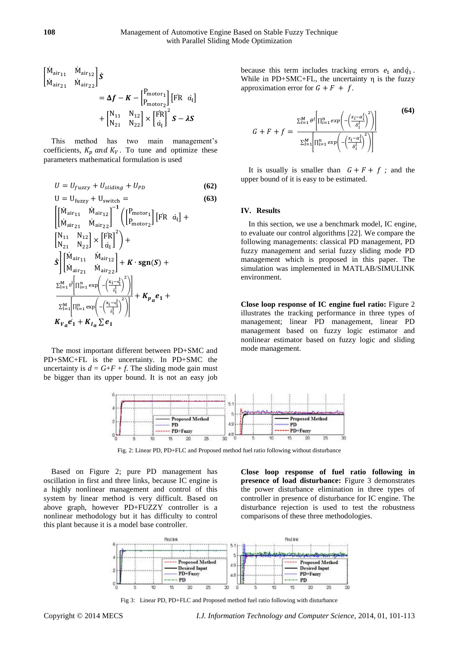$$
\begin{aligned} \begin{bmatrix} \dot{M}_{\text{air}_{11}} & \dot{M}_{\text{air}_{12}} \\ \dot{M}_{\text{air}_{21}} & \dot{M}_{\text{air}_{22}} \end{bmatrix} \dot{\mathbf{S}} \\ &= \Delta \boldsymbol{f} - \boldsymbol{K} - \begin{bmatrix} P_{\text{motor}_1} \\ P_{\text{motor}_2} \end{bmatrix} \begin{bmatrix} \text{FR} & \alpha_{\text{I}} \end{bmatrix} \\ &+ \begin{bmatrix} N_{11} & N_{12} \\ N_{21} & N_{22} \end{bmatrix} \times \begin{bmatrix} \ddot{\text{FR}} \\ \dot{\alpha}_{\text{I}} \end{bmatrix}^2 \boldsymbol{S} - \lambda \boldsymbol{S} \end{aligned}
$$

This method has two main management's coefficients,  $K_p$  and  $K_V$ . To tune and optimize these parameters mathematical formulation is used

$$
U = U_{fuzzy} + U_{sliding} + U_{PD}
$$
 (62)

$$
U = U_{\text{fuzzy}} + U_{\text{switch}} = \qquad (63)
$$
\n
$$
\begin{bmatrix}\n\dot{M}_{\text{air}_{11}} & \dot{M}_{\text{air}_{12}} \\
\dot{M}_{\text{air}_{21}} & \dot{M}_{\text{air}_{22}}\n\end{bmatrix}^{-1} \begin{bmatrix}\nP_{\text{motor}_1} \\
P_{\text{motor}_2}\n\end{bmatrix} [FR \space \alpha_I] + \begin{bmatrix}\nN_{11} & N_{12} \\
N_{21} & N_{22}\n\end{bmatrix} \times \begin{bmatrix}\n\dot{FR} \\
\dot{\alpha_I}\n\end{bmatrix}^2 + \dot{S} \begin{bmatrix}\n\dot{M}_{\text{air}_{11}} & \dot{M}_{\text{air}_{12}} \\
\dot{M}_{\text{air}_{21}} & \dot{M}_{\text{air}_{22}}\n\end{bmatrix} + K \cdot \text{sgn}(S) + \begin{aligned}\n\sum_{i=1}^{M} \theta^i \Big[ \Pi_{i=1}^n \exp\Big( -\Big(\frac{x_i - \alpha_i^1}{\delta_i^1}\Big)^2 \Big)\Big] \\
+ K_{p_a} e_1 + K_{l_a} \sum e_1\n\end{aligned}
$$

The most important different between PD+SMC and PD+SMC+FL is the uncertainty. In PD+SMC the uncertainty is  $d = G + F + f$ . The sliding mode gain must be bigger than its upper bound. It is not an easy job

because this term includes tracking errors  $e_1$  and  $\dot{q}_1$ . While in  $PD+SMC+FL$ , the uncertainty  $\eta$  is the fuzzy approximation error for  $G + F + f$ .

$$
G + F + f = \frac{\sum_{l=1}^{M} \theta^l \left[ \prod_{i=1}^{n} exp\left(-\left(\frac{x_i - \alpha_i^l}{\delta_i^l}\right)^2\right) \right]}{\sum_{l=1}^{M} \left[ \prod_{i=1}^{n} exp\left(-\left(\frac{x_i - \alpha_i^l}{\delta_i^l}\right)^2\right) \right]}
$$
(64)

It is usually is smaller than  $G + F + f$ ; and the upper bound of it is easy to be estimated.

#### **IV. Results**

In this section, we use a benchmark model, IC engine, to evaluate our control algorithms [22]. We compare the following managements: classical PD management, PD fuzzy management and serial fuzzy sliding mode PD management which is proposed in this paper. The simulation was implemented in MATLAB/SIMULINK environment.

**Close loop response of IC engine fuel ratio:** Figure 2 illustrates the tracking performance in three types of management; linear PD management, linear PD management based on fuzzy logic estimator and nonlinear estimator based on fuzzy logic and sliding mode management.



Fig. 2: Linear PD, PD+FLC and Proposed method fuel ratio following without disturbance

Based on Figure 2; pure PD management has oscillation in first and three links, because IC engine is a highly nonlinear management and control of this system by linear method is very difficult. Based on above graph, however PD+FUZZY controller is a nonlinear methodology but it has difficulty to control this plant because it is a model base controller.

**Close loop response of fuel ratio following in presence of load disturbance:** Figure 3 demonstrates the power disturbance elimination in three types of controller in presence of disturbance for IC engine. The disturbance rejection is used to test the robustness comparisons of these three methodologies.



Fig 3: Linear PD, PD+FLC and Proposed method fuel ratio following with disturbance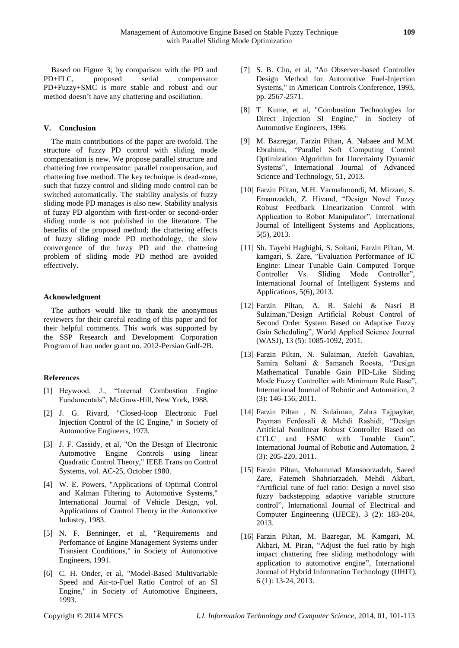Based on Figure 3; by comparison with the PD and PD+FLC, proposed serial compensator PD+Fuzzy+SMC is more stable and robust and our method doesn't have any chattering and oscillation.

## **V. Conclusion**

The main contributions of the paper are twofold. The structure of fuzzy PD control with sliding mode compensation is new. We propose parallel structure and chattering free compensator: parallel compensation, and chattering free method. The key technique is dead-zone, such that fuzzy control and sliding mode control can be switched automatically. The stability analysis of fuzzy sliding mode PD manages is also new. Stability analysis of fuzzy PD algorithm with first-order or second-order sliding mode is not published in the literature. The benefits of the proposed method; the chattering effects of fuzzy sliding mode PD methodology, the slow convergence of the fuzzy PD and the chattering problem of sliding mode PD method are avoided effectively.

#### **Acknowledgment**

The authors would like to thank the anonymous reviewers for their careful reading of this paper and for their helpful comments. This work was supported by the SSP Research and Development Corporation Program of Iran under grant no. 2012-Persian Gulf-2B.

#### **References**

- [1] Heywood, J., "Internal Combustion Engine Fundamentals", McGraw-Hill, New York, 1988.
- [2] J. G. Rivard, "Closed-loop Electronic Fuel Injection Control of the IC Engine," in Society of Automotive Engineers, 1973.
- [3] J. F. Cassidy, et al, "On the Design of Electronic Automotive Engine Controls using linear Quadratic Control Theory," IEEE Trans on Control Systems, vol. AC-25, October 1980.
- [4] W. E. Powers, "Applications of Optimal Control and Kalman Filtering to Automotive Systems," International Journal of Vehicle Design, vol. Applications of Control Theory in the Automotive Industry, 1983.
- [5] N. F. Benninger, et al, "Requirements and Perfomance of Engine Management Systems under Transient Conditions," in Society of Automotive Engineers, 1991.
- [6] C. H. Onder, et al, "Model-Based Multivariable Speed and Air-to-Fuel Ratio Control of an SI Engine," in Society of Automotive Engineers, 1993.
- [7] S. B. Cho, et al, "An Observer-based Controller Design Method for Automotive Fuel-Injection Systems," in American Controls Conference, 1993, pp. 2567-2571.
- [8] T. Kume, et al, "Combustion Technologies for Direct Injection SI Engine," in Society of Automotive Engineers, 1996.
- [9] M. Bazregar, Farzin Piltan, A. Nabaee and M.M. Ebrahimi, "Parallel Soft Computing Control Optimization Algorithm for Uncertainty Dynamic Systems", International Journal of Advanced Science and Technology, 51, 2013.
- [10] Farzin Piltan, M.H. Yarmahmoudi, M. Mirzaei, S. Emamzadeh, Z. Hivand, "Design Novel Fuzzy Robust Feedback Linearization Control with Application to Robot Manipulator", International Journal of Intelligent Systems and Applications, 5(5), 2013.
- [11] Sh. Tayebi Haghighi, S. Soltani, Farzin Piltan, M. kamgari, S. Zare, "Evaluation Performance of IC Engine: Linear Tunable Gain Computed Torque Controller Vs. Sliding Mode Controller", International Journal of Intelligent Systems and Applications, 5(6), 2013.
- [12] Farzin Piltan, A. R. Salehi & Nasri B Sulaiman,"Design Artificial Robust Control of Second Order System Based on Adaptive Fuzzy Gain Scheduling", World Applied Science Journal (WASJ), 13 (5): 1085-1092, 2011.
- [13] Farzin Piltan, N. Sulaiman, Atefeh Gavahian, Samira Soltani & Samaneh Roosta, "Design Mathematical Tunable Gain PID-Like Sliding Mode Fuzzy Controller with Minimum Rule Base", International Journal of Robotic and Automation, 2 (3): 146-156, 2011.
- [14] Farzin Piltan , N. Sulaiman, Zahra Tajpaykar, Payman Ferdosali & Mehdi Rashidi, "Design Artificial Nonlinear Robust Controller Based on CTLC and FSMC with Tunable Gain", International Journal of Robotic and Automation, 2 (3): 205-220, 2011.
- [15] Farzin Piltan, Mohammad Mansoorzadeh, Saeed Zare, Fatemeh Shahriarzadeh, Mehdi Akbari, "Artificial tune of fuel ratio: Design a novel siso fuzzy backstepping adaptive variable structure control", International Journal of Electrical and Computer Engineering (IJECE), 3 (2): 183-204, 2013.
- [16] Farzin Piltan, M. Bazregar, M. Kamgari, M. Akbari, M. Piran, "Adjust the fuel ratio by high impact chattering free sliding methodology with application to automotive engine", International Journal of Hybrid Information Technology (IJHIT), 6 (1): 13-24, 2013.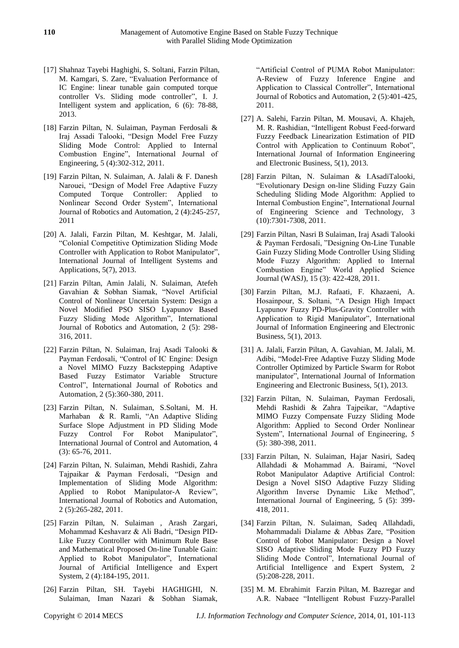- [17] Shahnaz Tayebi Haghighi, S. Soltani, Farzin Piltan, M. Kamgari, S. Zare, "Evaluation Performance of IC Engine: linear tunable gain computed torque controller Vs. Sliding mode controller", I. J. Intelligent system and application, 6 (6): 78-88, 2013.
- [18] Farzin Piltan, N. Sulaiman, Payman Ferdosali & Iraj Assadi Talooki, "Design Model Free Fuzzy Sliding Mode Control: Applied to Internal Combustion Engine", International Journal of Engineering, 5 (4):302-312, 2011.
- [19] Farzin Piltan, N. Sulaiman, A. Jalali & F. Danesh Narouei, "Design of Model Free Adaptive Fuzzy Computed Torque Controller: Applied to Nonlinear Second Order System", International Journal of Robotics and Automation, 2 (4):245-257, 2011
- [20] A. Jalali, Farzin Piltan, M. Keshtgar, M. Jalali, "Colonial Competitive Optimization Sliding Mode Controller with Application to Robot Manipulator", International Journal of Intelligent Systems and Applications, 5(7), 2013.
- [21] Farzin Piltan, Amin Jalali, N. Sulaiman, Atefeh Gavahian & Sobhan Siamak, "Novel Artificial Control of Nonlinear Uncertain System: Design a Novel Modified PSO SISO Lyapunov Based Fuzzy Sliding Mode Algorithm", International Journal of Robotics and Automation, 2 (5): 298- 316, 2011.
- [22] Farzin Piltan, N. Sulaiman, Iraj Asadi Talooki & Payman Ferdosali, "Control of IC Engine: Design a Novel MIMO Fuzzy Backstepping Adaptive Based Fuzzy Estimator Variable Structure Control", International Journal of Robotics and Automation, 2 (5):360-380, 2011.
- [23] Farzin Piltan, N. Sulaiman, S.Soltani, M. H. Marhaban & R. Ramli, "An Adaptive Sliding Surface Slope Adjustment in PD Sliding Mode Fuzzy Control For Robot Manipulator", International Journal of Control and Automation, 4 (3): 65-76, 2011.
- [24] Farzin Piltan, N. Sulaiman, Mehdi Rashidi, Zahra Tajpaikar & Payman Ferdosali, "Design and Implementation of Sliding Mode Algorithm: Applied to Robot Manipulator-A Review", International Journal of Robotics and Automation, 2 (5):265-282, 2011.
- [25] Farzin Piltan, N. Sulaiman , Arash Zargari, Mohammad Keshavarz & Ali Badri, "Design PID-Like Fuzzy Controller with Minimum Rule Base and Mathematical Proposed On-line Tunable Gain: Applied to Robot Manipulator", International Journal of Artificial Intelligence and Expert System, 2 (4):184-195, 2011.
- [26] Farzin Piltan, SH. Tayebi HAGHIGHI, N. Sulaiman, Iman Nazari & Sobhan Siamak,

"Artificial Control of PUMA Robot Manipulator: A-Review of Fuzzy Inference Engine and Application to Classical Controller", International Journal of Robotics and Automation, 2 (5):401-425, 2011.

- [27] A. Salehi, Farzin Piltan, M. Mousavi, A. Khajeh, M. R. Rashidian, "Intelligent Robust Feed-forward Fuzzy Feedback Linearization Estimation of PID Control with Application to Continuum Robot", International Journal of Information Engineering and Electronic Business, 5(1), 2013.
- [28] Farzin Piltan, N. Sulaiman & I.AsadiTalooki, "Evolutionary Design on-line Sliding Fuzzy Gain Scheduling Sliding Mode Algorithm: Applied to Internal Combustion Engine", International Journal of Engineering Science and Technology, 3 (10):7301-7308, 2011.
- [29] Farzin Piltan, Nasri B Sulaiman, Iraj Asadi Talooki & Payman Ferdosali, "Designing On-Line Tunable Gain Fuzzy Sliding Mode Controller Using Sliding Mode Fuzzy Algorithm: Applied to Internal Combustion Engine" World Applied Science Journal (WASJ), 15 (3): 422-428, 2011.
- [30] Farzin Piltan, M.J. Rafaati, F. Khazaeni, A. Hosainpour, S. Soltani, "A Design High Impact Lyapunov Fuzzy PD-Plus-Gravity Controller with Application to Rigid Manipulator", International Journal of Information Engineering and Electronic Business, 5(1), 2013.
- [31] A. Jalali, Farzin Piltan, A. Gavahian, M. Jalali, M. Adibi, "Model-Free Adaptive Fuzzy Sliding Mode Controller Optimized by Particle Swarm for Robot manipulator", International Journal of Information Engineering and Electronic Business, 5(1), 2013.
- [32] Farzin Piltan, N. Sulaiman, Payman Ferdosali, Mehdi Rashidi & Zahra Tajpeikar, "Adaptive MIMO Fuzzy Compensate Fuzzy Sliding Mode Algorithm: Applied to Second Order Nonlinear System", International Journal of Engineering, 5 (5): 380-398, 2011.
- [33] Farzin Piltan, N. Sulaiman, Hajar Nasiri, Sadeq Allahdadi & Mohammad A. Bairami, "Novel Robot Manipulator Adaptive Artificial Control: Design a Novel SISO Adaptive Fuzzy Sliding Algorithm Inverse Dynamic Like Method", International Journal of Engineering, 5 (5): 399- 418, 2011.
- [34] Farzin Piltan, N. Sulaiman, Sadeq Allahdadi, Mohammadali Dialame & Abbas Zare, "Position Control of Robot Manipulator: Design a Novel SISO Adaptive Sliding Mode Fuzzy PD Fuzzy Sliding Mode Control", International Journal of Artificial Intelligence and Expert System, 2 (5):208-228, 2011.
- [35] M. M. Ebrahimit Farzin Piltan, M. Bazregar and A.R. Nabaee "Intelligent Robust Fuzzy-Parallel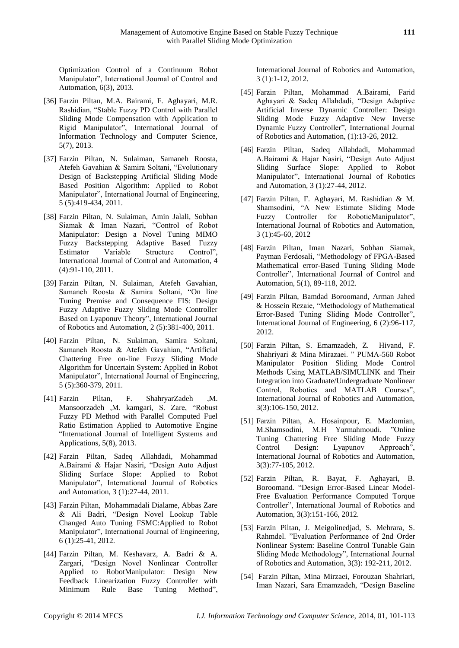Optimization Control of a Continuum Robot Manipulator", International Journal of Control and Automation, 6(3), 2013.

- [36] Farzin Piltan, M.A. Bairami, F. Aghayari, M.R. Rashidian, "Stable Fuzzy PD Control with Parallel Sliding Mode Compensation with Application to Rigid Manipulator", International Journal of Information Technology and Computer Science, 5(7), 2013.
- [37] Farzin Piltan, N. Sulaiman, Samaneh Roosta, Atefeh Gavahian & Samira Soltani, "Evolutionary Design of Backstepping Artificial Sliding Mode Based Position Algorithm: Applied to Robot Manipulator", International Journal of Engineering, 5 (5):419-434, 2011.
- [38] Farzin Piltan, N. Sulaiman, Amin Jalali, Sobhan Siamak & Iman Nazari, "Control of Robot Manipulator: Design a Novel Tuning MIMO Fuzzy Backstepping Adaptive Based Fuzzy Estimator Variable Structure Control", International Journal of Control and Automation, 4 (4):91-110, 2011.
- [39] Farzin Piltan, N. Sulaiman, Atefeh Gavahian, Samaneh Roosta & Samira Soltani, ["On line](http://www.cscjournals.org/csc/manuscriptinfo.php?ManuscriptCode=67.68.76.59.39.47.49.104&JCode=IJRA&EJCode=66.67.75.58.105&Volume=2&Issue=5)  [Tuning Premise and Consequence FIS: Design](http://www.cscjournals.org/csc/manuscriptinfo.php?ManuscriptCode=67.68.76.59.39.47.49.104&JCode=IJRA&EJCode=66.67.75.58.105&Volume=2&Issue=5)  [Fuzzy Adaptive Fuzzy Sliding Mode Controller](http://www.cscjournals.org/csc/manuscriptinfo.php?ManuscriptCode=67.68.76.59.39.47.49.104&JCode=IJRA&EJCode=66.67.75.58.105&Volume=2&Issue=5)  [Based on Lyaponuv Theory"](http://www.cscjournals.org/csc/manuscriptinfo.php?ManuscriptCode=67.68.76.59.39.47.49.104&JCode=IJRA&EJCode=66.67.75.58.105&Volume=2&Issue=5), International Journal of Robotics and Automation, 2 (5):381-400, 2011.
- [40] Farzin Piltan, N. Sulaiman, Samira Soltani, Samaneh Roosta & Atefeh Gavahian, ["Artificial](http://www.cscjournals.org/csc/manuscriptinfo.php?ManuscriptCode=68.69.64.40.46.44.44.103&JCode=IJE&EJCode=70.71.66.101&Volume=5&Issue=5)  [Chattering Free on-line Fuzzy Sliding Mode](http://www.cscjournals.org/csc/manuscriptinfo.php?ManuscriptCode=68.69.64.40.46.44.44.103&JCode=IJE&EJCode=70.71.66.101&Volume=5&Issue=5)  [Algorithm for Uncertain System: Applied in Robot](http://www.cscjournals.org/csc/manuscriptinfo.php?ManuscriptCode=68.69.64.40.46.44.44.103&JCode=IJE&EJCode=70.71.66.101&Volume=5&Issue=5)  [Manipulator"](http://www.cscjournals.org/csc/manuscriptinfo.php?ManuscriptCode=68.69.64.40.46.44.44.103&JCode=IJE&EJCode=70.71.66.101&Volume=5&Issue=5), International Journal of Engineering, 5 (5):360-379, 2011.
- [41] Farzin Piltan, F. ShahryarZadeh ,M. Mansoorzadeh ,M. kamgari, S. Zare, "Robust Fuzzy PD Method with Parallel Computed Fuel Ratio Estimation Applied to Automotive Engine "International Journal of Intelligent Systems and Applications, 5(8), 2013.
- [42] Farzin Piltan, Sadeq Allahdadi, Mohammad A.Bairami & Hajar Nasiri, "Design Auto Adjust Sliding Surface Slope: Applied to Robot Manipulator", International Journal of Robotics and Automation, 3 (1):27-44, 2011.
- [43] Farzin Piltan, Mohammadali Dialame, Abbas Zare & Ali Badri, "Design Novel Lookup Table Changed Auto Tuning FSMC:Applied to Robot Manipulator", International Journal of Engineering, 6 (1):25-41, 2012.
- [44] Farzin Piltan, M. Keshavarz, A. Badri & A. Zargari, "Design Novel Nonlinear Controller Applied to RobotManipulator: Design New Feedback Linearization Fuzzy Controller with Minimum Rule Base Tuning Method",

International Journal of Robotics and Automation, 3 (1):1-12, 2012.

- [45] Farzin Piltan, Mohammad A.Bairami, Farid Aghayari & Sadeq Allahdadi, "Design Adaptive Artificial Inverse Dynamic Controller: Design Sliding Mode Fuzzy Adaptive New Inverse Dynamic Fuzzy Controller", International Journal of Robotics and Automation, (1):13-26, 2012.
- [46] Farzin Piltan, Sadeq Allahdadi, Mohammad A.Bairami & Hajar Nasiri, "Design Auto Adjust Sliding Surface Slope: Applied to Robot Manipulator", International Journal of Robotics and Automation, 3 (1):27-44, 2012.
- [47] Farzin Piltan, F. Aghayari, M. Rashidian & M. Shamsodini, "A New Estimate Sliding Mode Fuzzy Controller for RoboticManipulator", International Journal of Robotics and Automation, 3 (1):45-60, 2012
- [48] Farzin Piltan, Iman Nazari, Sobhan Siamak, Payman Ferdosali, "Methodology of FPGA-Based Mathematical error-Based Tuning Sliding Mode Controller", International Journal of Control and Automation, 5(1), 89-118, 2012.
- [49] Farzin Piltan, Bamdad Boroomand, Arman Jahed & Hossein Rezaie, "Methodology of Mathematical Error-Based Tuning Sliding Mode Controller", International Journal of Engineering, 6 (2):96-117, 2012.
- [50] Farzin Piltan, S. Emamzadeh, Z. Hivand, F. Shahriyari & Mina Mirazaei. " PUMA-560 Robot Manipulator Position Sliding Mode Control Methods Using MATLAB/SIMULINK and Their Integration into Graduate/Undergraduate Nonlinear Control, Robotics and MATLAB Courses", International Journal of Robotics and Automation, 3(3):106-150, 2012.
- [51] Farzin Piltan, A. Hosainpour, E. Mazlomian, M.Shamsodini, M.H Yarmahmoudi. "Online Tuning Chattering Free Sliding Mode Fuzzy Control Design: Lyapunov Approach", International Journal of Robotics and Automation, 3(3):77-105, 2012.
- [52] Farzin Piltan, R. Bayat, F. Aghayari, B. Boroomand. "Design Error-Based Linear Model-Free Evaluation Performance Computed Torque Controller", International Journal of Robotics and Automation, 3(3):151-166, 2012.
- [53] Farzin Piltan, J. Meigolinedjad, S. Mehrara, S. Rahmdel. "Evaluation Performance of 2nd Order Nonlinear System: Baseline Control Tunable Gain Sliding Mode Methodology", International Journal of Robotics and Automation, 3(3): 192-211, 2012.
- [54] Farzin Piltan, Mina Mirzaei, Forouzan Shahriari, Iman Nazari, Sara Emamzadeh, "Design Baseline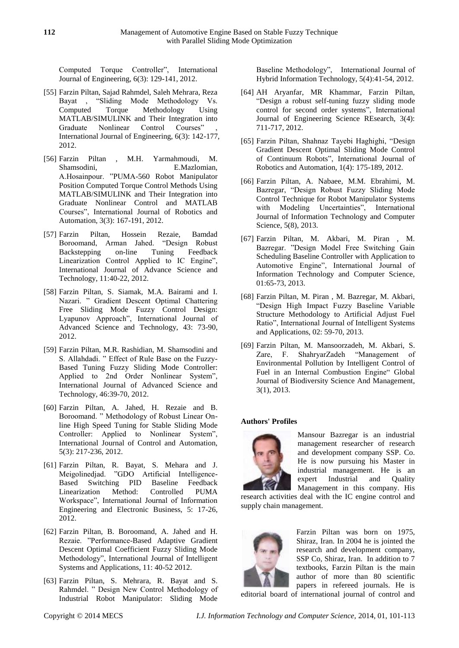Computed Torque Controller", International Journal of Engineering, 6(3): 129-141, 2012.

- [55] Farzin Piltan, Sajad Rahmdel, Saleh Mehrara, Reza Bayat , "Sliding Mode Methodology Vs. Computed Torque Methodology Using MATLAB/SIMULINK and Their Integration into Graduate Nonlinear Control Courses" International Journal of Engineering, 6(3): 142-177, 2012.
- [56] Farzin Piltan , M.H. Yarmahmoudi, M. Shamsodini, E.Mazlomian, A.Hosainpour. "PUMA-560 Robot Manipulator Position Computed Torque Control Methods Using MATLAB/SIMULINK and Their Integration into Graduate Nonlinear Control and MATLAB Courses", International Journal of Robotics and Automation, 3(3): 167-191, 2012.
- [57] Farzin Piltan, Hossein Rezaie, Bamdad Boroomand, Arman Jahed. "Design Robust Backstepping on-line Tuning Feedback Linearization Control Applied to IC Engine", International Journal of Advance Science and Technology, 11:40-22, 2012.
- [58] Farzin Piltan, S. Siamak, M.A. Bairami and I. Nazari. " Gradient Descent Optimal Chattering Free Sliding Mode Fuzzy Control Design: Lyapunov Approach", International Journal of Advanced Science and Technology, 43: 73-90, 2012.
- [59] Farzin Piltan, M.R. Rashidian, M. Shamsodini and S. Allahdadi. " Effect of Rule Base on the Fuzzy-Based Tuning Fuzzy Sliding Mode Controller: Applied to 2nd Order Nonlinear System", International Journal of Advanced Science and Technology, 46:39-70, 2012.
- [60] Farzin Piltan, A. Jahed, H. Rezaie and B. Boroomand. " Methodology of Robust Linear Online High Speed Tuning for Stable Sliding Mode Controller: Applied to Nonlinear System", International Journal of Control and Automation, 5(3): 217-236, 2012.
- [61] Farzin Piltan, R. Bayat, S. Mehara and J. Meigolinedjad. "GDO Artificial Intelligence-Based Switching PID Baseline Feedback Linearization Method: Controlled PUMA Workspace", International Journal of Information Engineering and Electronic Business, 5: 17-26, 2012.
- [62] Farzin Piltan, B. Boroomand, A. Jahed and H. Rezaie. "Performance-Based Adaptive Gradient Descent Optimal Coefficient Fuzzy Sliding Mode Methodology", International Journal of Intelligent Systems and Applications, 11: 40-52 2012.
- [63] Farzin Piltan, S. Mehrara, R. Bayat and S. Rahmdel. " Design New Control Methodology of Industrial Robot Manipulator: Sliding Mode

Baseline Methodology", International Journal of Hybrid Information Technology, 5(4):41-54, 2012.

- [64] AH Aryanfar, MR Khammar, Farzin Piltan, ["Design a robust self-tuning fuzzy sliding mode](http://ijesr.in/wp-content/uploads/2012/07/IJESR-Y12-TJ-H140-Design-a-robust-self-tuning-fuzzy-sliding-mode-control-for-second-order-systems.pdf)  [control for second order systems"](http://ijesr.in/wp-content/uploads/2012/07/IJESR-Y12-TJ-H140-Design-a-robust-self-tuning-fuzzy-sliding-mode-control-for-second-order-systems.pdf), International Journal of Engineering Science REsearch, 3(4): 711-717, 2012.
- [65] Farzin Piltan, Shahnaz Tayebi Haghighi, ["Design](http://scholar.google.com/citations?view_op=view_citation&hl=en&user=qFs3XJoAAAAJ&sortby=pubdate&citation_for_view=qFs3XJoAAAAJ:HDshCWvjkbEC)  [Gradient Descent Optimal Sliding Mode Control](http://scholar.google.com/citations?view_op=view_citation&hl=en&user=qFs3XJoAAAAJ&sortby=pubdate&citation_for_view=qFs3XJoAAAAJ:HDshCWvjkbEC)  [of Continuum Robots"](http://scholar.google.com/citations?view_op=view_citation&hl=en&user=qFs3XJoAAAAJ&sortby=pubdate&citation_for_view=qFs3XJoAAAAJ:HDshCWvjkbEC), International Journal of Robotics and Automation, 1(4): 175-189, 2012.
- [66] Farzin Piltan, A. Nabaee, M.M. Ebrahimi, M. Bazregar, "Design Robust Fuzzy Sliding Mode Control Technique for Robot Manipulator Systems with Modeling Uncertainties", International Journal of Information Technology and Computer Science, 5(8), 2013.
- [67] Farzin Piltan, M. Akbari, M. Piran , M. Bazregar. "Design Model Free Switching Gain Scheduling Baseline Controller with Application to Automotive Engine", International Journal of Information Technology and Computer Science, 01:65-73, 2013.
- [68] Farzin Piltan, M. Piran , M. Bazregar, M. Akbari, "Design High Impact Fuzzy Baseline Variable Structure Methodology to Artificial Adjust Fuel Ratio", International Journal of Intelligent Systems and Applications, 02: 59-70, 2013.
- [69] Farzin Piltan, M. Mansoorzadeh, M. Akbari, S. Zare, F. ShahryarZadeh "Management of Environmental Pollution by Intelligent Control of Fuel in an Internal Combustion Engine" Global Journal of Biodiversity Science And Management, 3(1), 2013.

# **Authors' Profiles**



Mansour Bazregar is an industrial management researcher of research and development company SSP. Co. He is now pursuing his Master in industrial management. He is an expert Industrial and Quality Management in this company. His

research activities deal with the IC engine control and supply chain management.



Farzin Piltan was born on 1975, Shiraz, Iran. In 2004 he is jointed the research and development company, SSP Co, Shiraz, Iran. In addition to 7 textbooks, Farzin Piltan is the main author of more than 80 scientific papers in refereed journals. He is

editorial board of international journal of control and